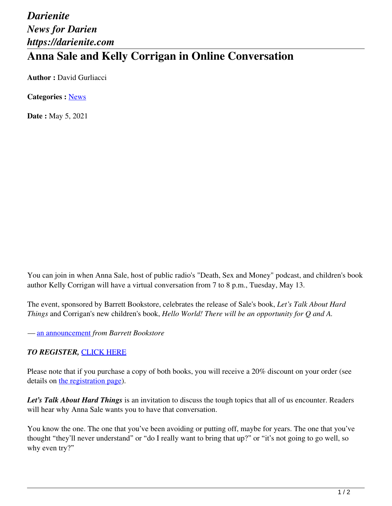# *Darienite News for Darien https://darienite.com* **Anna Sale and Kelly Corrigan in Online Conversation**

**Author :** David Gurliacci

**Categories :** [News](https://darienite.com/category/news)

**Date :** May 5, 2021

You can join in when Anna Sale, host of public radio's "Death, Sex and Money" podcast, and children's book author Kelly Corrigan will have a virtual conversation from 7 to 8 p.m., Tuesday, May 13.

The event, sponsored by Barrett Bookstore, celebrates the release of Sale's book, *Let's Talk About Hard Things* and Corrigan's new children's book, *Hello World! There will be an opportunity for Q and A.*

*—* an announcement *from Barrett Bookstore*

#### *TO REGISTER,* CLICK HERE

Please note that if you purchase a copy of both books, you will receive a 20% discount on your order (see details on the registration page).

*Let's Talk About Hard Things* is an invitation to discuss the tough topics that all of us encounter. Readers will hear why Anna Sale wants you to have that conversation.

You know the one. The one that you've been avoiding or putting off, maybe for years. The one that you've thought "they'll never understand" or "do I really want to bring that up?" or "it's not going to go well, so why even try?"